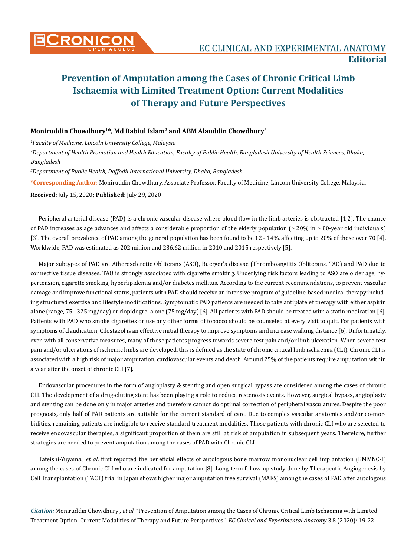## **Moniruddin Chowdhury1\*, Md Rabiul Islam2 and ABM Alauddin Chowdhury3**

*1 Faculty of Medicine, Lincoln University College, Malaysia*

*2 Department of Health Promotion and Health Education, Faculty of Public Health, Bangladesh University of Health Sciences, Dhaka, Bangladesh*

*3 Department of Public Health, Daffodil International University, Dhaka, Bangladesh*

**\*Corresponding Author**: Moniruddin Chowdhury, Associate Professor, Faculty of Medicine, Lincoln University College, Malaysia.

**Received:** July 15, 2020; **Published:** July 29, 2020

Peripheral arterial disease (PAD) is a chronic vascular disease where blood flow in the limb arteries is obstructed [1,2]. The chance of PAD increases as age advances and affects a considerable proportion of the elderly population (> 20% in > 80-year old individuals) [3]. The overall prevalence of PAD among the general population has been found to be 12 - 14%, affecting up to 20% of those over 70 [4]. Worldwide, PAD was estimated as 202 million and 236.62 million in 2010 and 2015 respectively [5].

Major subtypes of PAD are Atherosclerotic Obliterans (ASO), Buerger's disease (Thromboangiitis Obliterans, TAO) and PAD due to connective tissue diseases. TAO is strongly associated with cigarette smoking. Underlying risk factors leading to ASO are older age, hypertension, cigarette smoking, hyperlipidemia and/or diabetes mellitus. According to the current recommendations, to prevent vascular damage and improve functional status, patients with PAD should receive an intensive program of guideline-based medical therapy including structured exercise and lifestyle modifications. Symptomatic PAD patients are needed to take antiplatelet therapy with either aspirin alone (range, 75 - 325 mg/day) or clopidogrel alone (75 mg/day) [6]. All patients with PAD should be treated with a statin medication [6]. Patients with PAD who smoke cigarettes or use any other forms of tobacco should be counseled at every visit to quit. For patients with symptoms of claudication, Cilostazol is an effective initial therapy to improve symptoms and increase walking distance [6]. Unfortunately, even with all conservative measures, many of those patients progress towards severe rest pain and/or limb ulceration. When severe rest pain and/or ulcerations of ischemic limbs are developed, this is defined as the state of chronic critical limb ischaemia (CLI). Chronic CLI is associated with a high risk of major amputation, cardiovascular events and death. Around 25% of the patients require amputation within a year after the onset of chronic CLI [7].

Endovascular procedures in the form of angioplasty & stenting and open surgical bypass are considered among the cases of chronic CLI. The development of a drug-eluting stent has been playing a role to reduce restenosis events. However, surgical bypass, angioplasty and stenting can be done only in major arteries and therefore cannot do optimal correction of peripheral vasculatures. Despite the poor prognosis, only half of PAD patients are suitable for the current standard of care. Due to complex vascular anatomies and/or co-morbidities, remaining patients are ineligible to receive standard treatment modalities. Those patients with chronic CLI who are selected to receive endovascular therapies, a significant proportion of them are still at risk of amputation in subsequent years. Therefore, further strategies are needed to prevent amputation among the cases of PAD with Chronic CLI.

Tateishi-Yuyama., *et al*. first reported the beneficial effects of autologous bone marrow mononuclear cell implantation (BMMNC-I) among the cases of Chronic CLI who are indicated for amputation [8]. Long term follow up study done by Therapeutic Angiogenesis by Cell Transplantation (TACT) trial in Japan shows higher major amputation free survival (MAFS) among the cases of PAD after autologous

*Citation:* Moniruddin Chowdhury*., et al.* "Prevention of Amputation among the Cases of Chronic Critical Limb Ischaemia with Limited Treatment Option: Current Modalities of Therapy and Future Perspectives". *EC Clinical and Experimental Anatomy* 3.8 (2020): 19-22.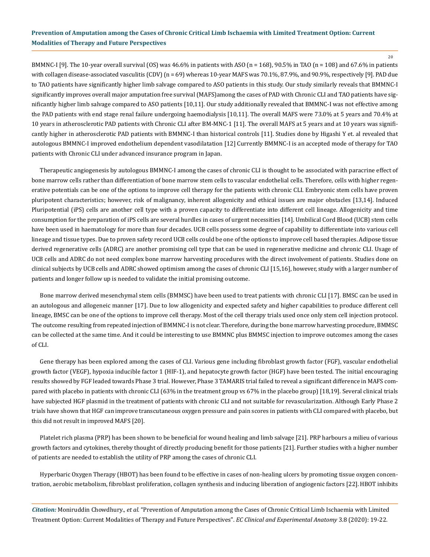20

BMMNC-I [9]. The 10-year overall survival (OS) was 46.6% in patients with ASO (n = 168), 90.5% in TAO (n = 108) and 67.6% in patients with collagen disease-associated vasculitis (CDV) (n = 69) whereas 10-year MAFS was 70.1%, 87.9%, and 90.9%, respectively [9]. PAD due to TAO patients have significantly higher limb salvage compared to ASO patients in this study. Our study similarly reveals that BMMNC-I significantly improves overall major amputation free survival (MAFS)among the cases of PAD with Chronic CLI and TAO patients have significantly higher limb salvage compared to ASO patients [10,11]. Our study additionally revealed that BMMNC-I was not effective among the PAD patients with end stage renal failure undergoing haemodialysis [10,11]. The overall MAFS were 73.0% at 5 years and 70.4% at 10 years in atherosclerotic PAD patients with Chronic CLI after BM-MNC-1 [11]. The overall MAFS at 5 years and at 10 years was significantly higher in atherosclerotic PAD patients with BMMNC-I than historical controls [11]. Studies done by Higashi Y et. al revealed that autologous BMMNC-I improved endothelium dependent vasodilatation [12] Currently BMMNC-I is an accepted mode of therapy for TAO patients with Chronic CLI under advanced insurance program in Japan.

Therapeutic angiogenesis by autologous BMMNC-I among the cases of chronic CLI is thought to be associated with paracrine effect of bone marrow cells rather than differentiation of bone marrow stem cells to vascular endothelial cells. Therefore, cells with higher regenerative potentials can be one of the options to improve cell therapy for the patients with chronic CLI. Embryonic stem cells have proven pluripotent characteristics; however, risk of malignancy, inherent allogenicity and ethical issues are major obstacles [13,14]. Induced Pluripotential (iPS) cells are another cell type with a proven capacity to differentiate into different cell lineage. Allogenicity and time consumption for the preparation of iPS cells are several hurdles in cases of urgent necessities [14]. Umbilical Cord Blood (UCB) stem cells have been used in haematology for more than four decades. UCB cells possess some degree of capability to differentiate into various cell lineage and tissue types. Due to proven safety record UCB cells could be one of the options to improve cell based therapies. Adipose tissue derived regenerative cells (ADRC) are another promising cell type that can be used in regenerative medicine and chronic CLI. Usage of UCB cells and ADRC do not need complex bone marrow harvesting procedures with the direct involvement of patients. Studies done on clinical subjects by UCB cells and ADRC showed optimism among the cases of chronic CLI [15,16], however, study with a larger number of patients and longer follow up is needed to validate the initial promising outcome.

Bone marrow derived mesenchymal stem cells (BMMSC) have been used to treat patients with chronic CLI [17]. BMSC can be used in an autologous and allogeneic manner [17]. Due to low allogenicity and expected safety and higher capabilities to produce different cell lineage, BMSC can be one of the options to improve cell therapy. Most of the cell therapy trials used once only stem cell injection protocol. The outcome resulting from repeated injection of BMMNC-I is not clear. Therefore, during the bone marrow harvesting procedure, BMMSC can be collected at the same time. And it could be interesting to use BMMNC plus BMMSC injection to improve outcomes among the cases of CLI.

Gene therapy has been explored among the cases of CLI. Various gene including fibroblast growth factor (FGF), vascular endothelial growth factor (VEGF), hypoxia inducible factor 1 (HIF-1), and hepatocyte growth factor (HGF) have been tested. The initial encouraging results showed by FGF leaded towards Phase 3 trial. However, Phase 3 TAMARIS trial failed to reveal a significant difference in MAFS compared with placebo in patients with chronic CLI (63% in the treatment group vs 67% in the placebo group) [18,19]. Several clinical trials have subjected HGF plasmid in the treatment of patients with chronic CLI and not suitable for revascularization. Although Early Phase 2 trials have shown that HGF can improve transcutaneous oxygen pressure and pain scores in patients with CLI compared with placebo, but this did not result in improved MAFS [20].

Platelet rich plasma (PRP) has been shown to be beneficial for wound healing and limb salvage [21]. PRP harbours a milieu of various growth factors and cytokines, thereby thought of directly producing benefit for those patients [21]. Further studies with a higher number of patients are needed to establish the utility of PRP among the cases of chronic CLI.

Hyperbaric Oxygen Therapy (HBOT) has been found to be effective in cases of non-healing ulcers by promoting tissue oxygen concentration, aerobic metabolism, fibroblast proliferation, collagen synthesis and inducing liberation of angiogenic factors [22].HBOT inhibits

*Citation:* Moniruddin Chowdhury*., et al.* "Prevention of Amputation among the Cases of Chronic Critical Limb Ischaemia with Limited Treatment Option: Current Modalities of Therapy and Future Perspectives". *EC Clinical and Experimental Anatomy* 3.8 (2020): 19-22.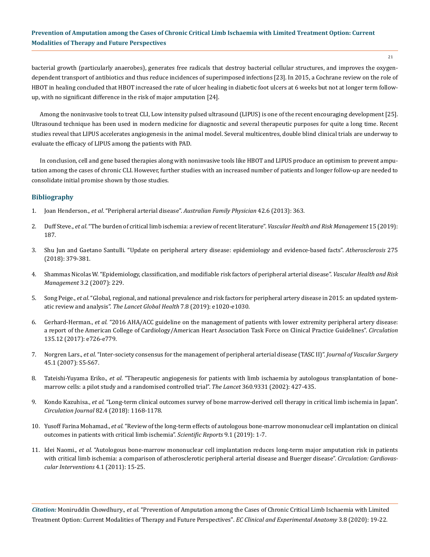bacterial growth (particularly anaerobes), generates free radicals that destroy bacterial cellular structures, and improves the oxygendependent transport of antibiotics and thus reduce incidences of superimposed infections [23]. In 2015, a Cochrane review on the role of HBOT in healing concluded that HBOT increased the rate of ulcer healing in diabetic foot ulcers at 6 weeks but not at longer term followup, with no significant difference in the risk of major amputation [24].

Among the noninvasive tools to treat CLI, Low intensity pulsed ultrasound (LIPUS) is one of the recent encouraging development [25]. Ultrasound technique has been used in modern medicine for diagnostic and several therapeutic purposes for quite a long time. Recent studies reveal that LIPUS accelerates angiogenesis in the animal model. Several multicentres, double blind clinical trials are underway to evaluate the efficacy of LIPUS among the patients with PAD.

In conclusion, cell and gene based therapies along with noninvasive tools like HBOT and LIPUS produce an optimism to prevent amputation among the cases of chronic CLI. However, further studies with an increased number of patients and longer follow-up are needed to consolidate initial promise shown by those studies.

#### **Bibliography**

- 1. Joan Henderson., *et al*. "Peripheral arterial disease". *[Australian Family Physician](https://pubmed.ncbi.nlm.nih.gov/23781540/)* 42.6 (2013): 363.
- 2. Duff Steve., *et al*[. "The burden of critical limb ischemia: a review of recent literature".](https://pubmed.ncbi.nlm.nih.gov/31308682/) *Vascular Health and Risk Management* 15 (2019): [187.](https://pubmed.ncbi.nlm.nih.gov/31308682/)
- 3. [Shu Jun and Gaetano Santulli. "Update on peripheral artery disease: epidemiology and evidence-based facts".](https://www.ncbi.nlm.nih.gov/pmc/articles/PMC6113064/) *Atherosclerosis* 275 [\(2018\): 379-381.](https://www.ncbi.nlm.nih.gov/pmc/articles/PMC6113064/)
- 4. [Shammas Nicolas W. "Epidemiology, classification, and modifiable risk factors of peripheral arterial disease".](https://pubmed.ncbi.nlm.nih.gov/17580733/) *Vascular Health and Risk Management* [3.2 \(2007\): 229.](https://pubmed.ncbi.nlm.nih.gov/17580733/)
- 5. Song Peige., *et al*[. "Global, regional, and national prevalence and risk factors for peripheral artery disease in 2015: an updated system](https://www.thelancet.com/journals/langlo/article/PIIS2214-109X(19)30255-4/fulltext)atic review and analysis". *[The Lancet Global Health](https://www.thelancet.com/journals/langlo/article/PIIS2214-109X(19)30255-4/fulltext)* 7.8 (2019): e1020-e1030.
- 6. Gerhard-Herman., *et al*[. "2016 AHA/ACC guideline on the management of patients with lower extremity peripheral artery disease:](https://www.ahajournals.org/doi/10.1161/cir.0000000000000471) [a report of the American College of Cardiology/American Heart Association Task Force on Clinical Practice Guidelines".](https://www.ahajournals.org/doi/10.1161/cir.0000000000000471) *Circulation*  [135.12 \(2017\): e726-e779.](https://www.ahajournals.org/doi/10.1161/cir.0000000000000471)
- 7. Norgren Lars., *et al*[. "Inter-society consensus for the management of peripheral arterial disease \(TASC II\)".](https://pubmed.ncbi.nlm.nih.gov/17223489/) *Journal of Vascular Surgery* [45.1 \(2007\): S5-S67.](https://pubmed.ncbi.nlm.nih.gov/17223489/)
- 8. Tateishi-Yuyama Eriko., *et al*[. "Therapeutic angiogenesis for patients with limb ischaemia by autologous transplantation of bone](https://pubmed.ncbi.nlm.nih.gov/12241713/)[marrow cells: a pilot study and a randomised controlled trial".](https://pubmed.ncbi.nlm.nih.gov/12241713/) *The Lancet* 360.9331 (2002): 427-435.
- 9. Kondo Kazuhisa., *et al*[. "Long-term clinical outcomes survey of bone marrow-derived cell therapy in critical limb ischemia in Japan".](https://pubmed.ncbi.nlm.nih.gov/29386474/) *Circulation Journal* [82.4 \(2018\): 1168-1178.](https://pubmed.ncbi.nlm.nih.gov/29386474/)
- 10. Yusoff Farina Mohamad., *et al*[. "Review of the long-term effects of autologous bone-marrow mononuclear cell implantation on clinical](https://pubmed.ncbi.nlm.nih.gov/31118440/)  [outcomes in patients with critical limb ischemia".](https://pubmed.ncbi.nlm.nih.gov/31118440/) *Scientific Reports* 9.1 (2019): 1-7.
- 11. Idei Naomi., *et al*[. "Autologous bone-marrow mononuclear cell implantation reduces long-term major amputation risk in patients](https://pubmed.ncbi.nlm.nih.gov/21205941/)  [with critical limb ischemia: a comparison of atherosclerotic peripheral arterial disease and Buerger disease".](https://pubmed.ncbi.nlm.nih.gov/21205941/) *Circulation: Cardiovas[cular Interventions](https://pubmed.ncbi.nlm.nih.gov/21205941/)* 4.1 (2011): 15-25.

*Citation:* Moniruddin Chowdhury*., et al.* "Prevention of Amputation among the Cases of Chronic Critical Limb Ischaemia with Limited Treatment Option: Current Modalities of Therapy and Future Perspectives". *EC Clinical and Experimental Anatomy* 3.8 (2020): 19-22.

21